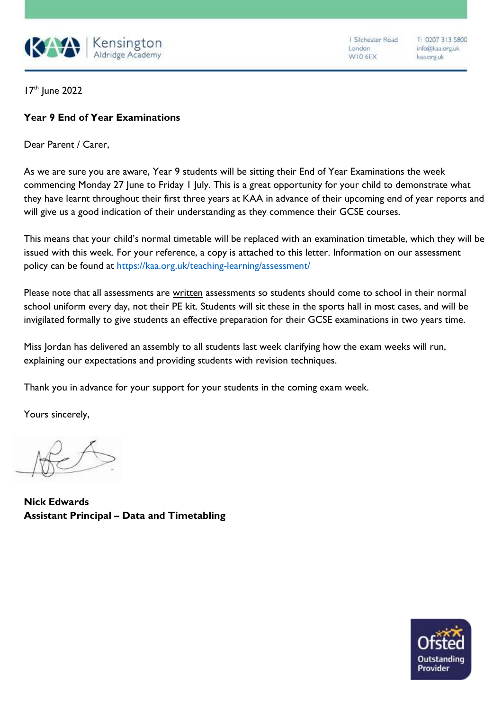

I Silchester Road London W10 6EX

T: 0207 313 5800 info@kaa.org.uk kaa.org.uk

17<sup>th</sup> June 2022

## **Year 9 End of Year Examinations**

Dear Parent / Carer,

As we are sure you are aware, Year 9 students will be sitting their End of Year Examinations the week commencing Monday 27 June to Friday 1 July. This is a great opportunity for your child to demonstrate what they have learnt throughout their first three years at KAA in advance of their upcoming end of year reports and will give us a good indication of their understanding as they commence their GCSE courses.

This means that your child's normal timetable will be replaced with an examination timetable, which they will be issued with this week. For your reference, a copy is attached to this letter. Information on our assessment policy can be found at <https://kaa.org.uk/teaching-learning/assessment/>

Please note that all assessments are written assessments so students should come to school in their normal school uniform every day, not their PE kit. Students will sit these in the sports hall in most cases, and will be invigilated formally to give students an effective preparation for their GCSE examinations in two years time.

Miss Jordan has delivered an assembly to all students last week clarifying how the exam weeks will run, explaining our expectations and providing students with revision techniques.

Thank you in advance for your support for your students in the coming exam week.

Yours sincerely,

**Nick Edwards Assistant Principal – Data and Timetabling**